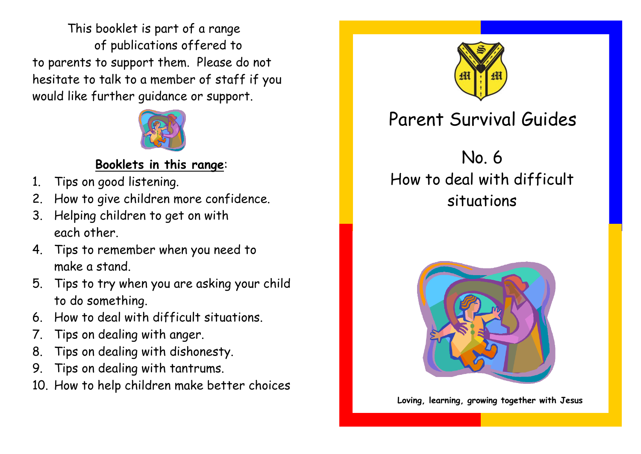This booklet is part of a range of publications offered to to parents to support them. Please do not hesitate to talk to a member of staff if you would like further guidance or support.



## **Booklets in this range**:

- 1. Tips on good listening.
- 2. How to give children more confidence.
- 3. Helping children to get on with each other.
- 4. Tips to remember when you need to make a stand.
- 5. Tips to try when you are asking your child to do something.
- 6. How to deal with difficult situations.
- 7. Tips on dealing with anger.
- 8. Tips on dealing with dishonesty.
- 9. Tips on dealing with tantrums.
- 10. How to help children make better choices



## Parent Survival Guides

## No. 6 How to deal with difficult situations



**Loving, learning, growing together with Jesus**